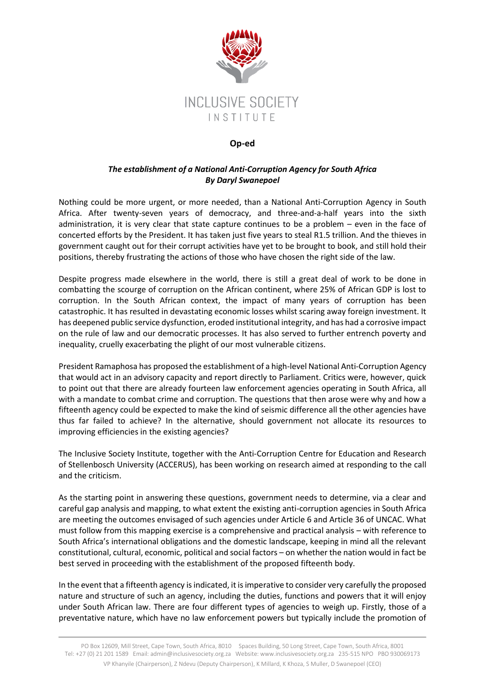

## **Op-ed**

## *The establishment of a National Anti-Corruption Agency for South Africa By Daryl Swanepoel*

Nothing could be more urgent, or more needed, than a National Anti-Corruption Agency in South Africa. After twenty-seven years of democracy, and three-and-a-half years into the sixth administration, it is very clear that state capture continues to be a problem – even in the face of concerted efforts by the President. It has taken just five years to steal R1.5 trillion. And the thieves in government caught out for their corrupt activities have yet to be brought to book, and still hold their positions, thereby frustrating the actions of those who have chosen the right side of the law.

Despite progress made elsewhere in the world, there is still a great deal of work to be done in combatting the scourge of corruption on the African continent, where 25% of African GDP is lost to corruption. In the South African context, the impact of many years of corruption has been catastrophic. It has resulted in devastating economic losses whilst scaring away foreign investment. It has deepened public service dysfunction, eroded institutional integrity, and has had a corrosive impact on the rule of law and our democratic processes. It has also served to further entrench poverty and inequality, cruelly exacerbating the plight of our most vulnerable citizens.

President Ramaphosa has proposed the establishment of a high-level National Anti-Corruption Agency that would act in an advisory capacity and report directly to Parliament. Critics were, however, quick to point out that there are already fourteen law enforcement agencies operating in South Africa, all with a mandate to combat crime and corruption. The questions that then arose were why and how a fifteenth agency could be expected to make the kind of seismic difference all the other agencies have thus far failed to achieve? In the alternative, should government not allocate its resources to improving efficiencies in the existing agencies?

The Inclusive Society Institute, together with the Anti-Corruption Centre for Education and Research of Stellenbosch University (ACCERUS), has been working on research aimed at responding to the call and the criticism.

As the starting point in answering these questions, government needs to determine, via a clear and careful gap analysis and mapping, to what extent the existing anti-corruption agencies in South Africa are meeting the outcomes envisaged of such agencies under Article 6 and Article 36 of UNCAC. What must follow from this mapping exercise is a comprehensive and practical analysis – with reference to South Africa's international obligations and the domestic landscape, keeping in mind all the relevant constitutional, cultural, economic, political and social factors – on whether the nation would in fact be best served in proceeding with the establishment of the proposed fifteenth body.

In the event that a fifteenth agency is indicated, it is imperative to consider very carefully the proposed nature and structure of such an agency, including the duties, functions and powers that it will enjoy under South African law. There are four different types of agencies to weigh up. Firstly, those of a preventative nature, which have no law enforcement powers but typically include the promotion of